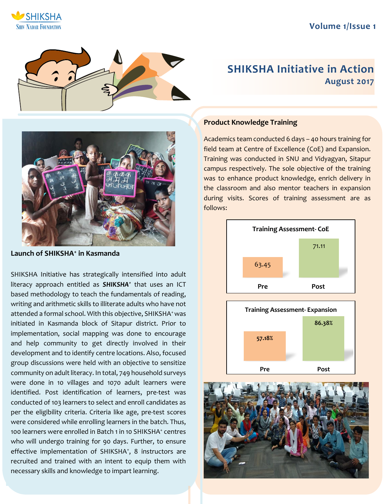# **Volume 1/Issue 1**





# **SHIKSHA Initiative in Action August 2017**



**Launch of SHIKSHA<sup>+</sup> in Kasmanda**

SHIKSHA Initiative has strategically intensified into adult literacy approach entitled as *SHIKSHA<sup>+</sup>* that uses an ICT based methodology to teach the fundamentals of reading, writing and arithmetic skills to illiterate adults who have not attended a formal school. With this objective, SHIKSHA<sup>+</sup> was initiated in Kasmanda block of Sitapur district. Prior to implementation, social mapping was done to encourage and help community to get directly involved in their development and to identify centre locations. Also, focused group discussions were held with an objective to sensitize community on adult literacy. In total, 749 household surveys were done in 10 villages and 1070 adult learners were identified. Post identification of learners, pre-test was conducted of 103 learners to select and enroll candidates as per the eligibility criteria. Criteria like age, pre-test scores were considered while enrolling learners in the batch. Thus, 100 learners were enrolled in Batch 1 in 10 SHIKSHA<sup>+</sup> centres who will undergo training for 90 days. Further, to ensure effective implementation of SHIKSHA<sup>+</sup>, 8 instructors are recruited and trained with an intent to equip them with necessary skills and knowledge to impart learning.

# **Product Knowledge Training**

Academics team conducted 6 days – 40 hours training for field team at Centre of Excellence (CoE) and Expansion. Training was conducted in SNU and Vidyagyan, Sitapur campus respectively. The sole objective of the training was to enhance product knowledge, enrich delivery in the classroom and also mentor teachers in expansion during visits. Scores of training assessment are as follows:



**Pre Post**